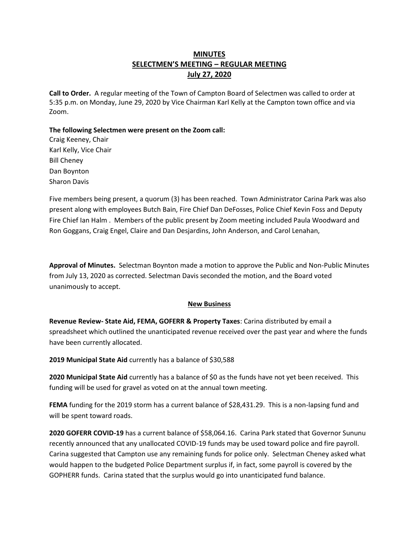# **MINUTES SELECTMEN'S MEETING – REGULAR MEETING July 27, 2020**

**Call to Order.** A regular meeting of the Town of Campton Board of Selectmen was called to order at 5:35 p.m. on Monday, June 29, 2020 by Vice Chairman Karl Kelly at the Campton town office and via Zoom.

**The following Selectmen were present on the Zoom call:**

Craig Keeney, Chair Karl Kelly, Vice Chair Bill Cheney Dan Boynton Sharon Davis

Five members being present, a quorum (3) has been reached.Town Administrator Carina Park was also present along with employees Butch Bain, Fire Chief Dan DeFosses, Police Chief Kevin Foss and Deputy Fire Chief Ian Halm . Members of the public present by Zoom meeting included Paula Woodward and Ron Goggans, Craig Engel, Claire and Dan Desjardins, John Anderson, and Carol Lenahan,

**Approval of Minutes.** Selectman Boynton made a motion to approve the Public and Non-Public Minutes from July 13, 2020 as corrected. Selectman Davis seconded the motion, and the Board voted unanimously to accept.

# **New Business**

**Revenue Review- State Aid, FEMA, GOFERR & Property Taxes**: Carina distributed by email a spreadsheet which outlined the unanticipated revenue received over the past year and where the funds have been currently allocated.

**2019 Municipal State Aid** currently has a balance of \$30,588

**2020 Municipal State Aid** currently has a balance of \$0 as the funds have not yet been received. This funding will be used for gravel as voted on at the annual town meeting.

**FEMA** funding for the 2019 storm has a current balance of \$28,431.29. This is a non-lapsing fund and will be spent toward roads.

**2020 GOFERR COVID-19** has a current balance of \$58,064.16. Carina Park stated that Governor Sununu recently announced that any unallocated COVID-19 funds may be used toward police and fire payroll. Carina suggested that Campton use any remaining funds for police only. Selectman Cheney asked what would happen to the budgeted Police Department surplus if, in fact, some payroll is covered by the GOPHERR funds. Carina stated that the surplus would go into unanticipated fund balance.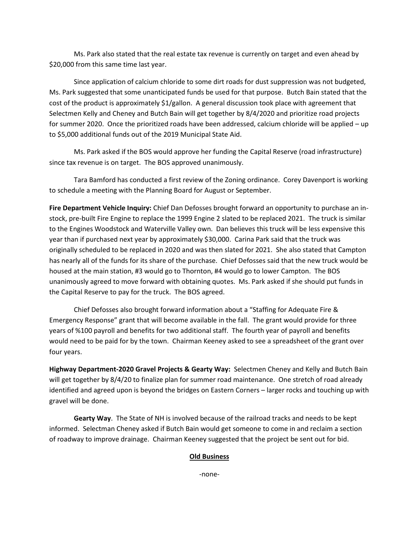Ms. Park also stated that the real estate tax revenue is currently on target and even ahead by \$20,000 from this same time last year.

Since application of calcium chloride to some dirt roads for dust suppression was not budgeted, Ms. Park suggested that some unanticipated funds be used for that purpose. Butch Bain stated that the cost of the product is approximately \$1/gallon. A general discussion took place with agreement that Selectmen Kelly and Cheney and Butch Bain will get together by 8/4/2020 and prioritize road projects for summer 2020. Once the prioritized roads have been addressed, calcium chloride will be applied – up to \$5,000 additional funds out of the 2019 Municipal State Aid.

Ms. Park asked if the BOS would approve her funding the Capital Reserve (road infrastructure) since tax revenue is on target. The BOS approved unanimously.

Tara Bamford has conducted a first review of the Zoning ordinance. Corey Davenport is working to schedule a meeting with the Planning Board for August or September.

**Fire Department Vehicle Inquiry:** Chief Dan Defosses brought forward an opportunity to purchase an instock, pre-built Fire Engine to replace the 1999 Engine 2 slated to be replaced 2021. The truck is similar to the Engines Woodstock and Waterville Valley own. Dan believes this truck will be less expensive this year than if purchased next year by approximately \$30,000. Carina Park said that the truck was originally scheduled to be replaced in 2020 and was then slated for 2021. She also stated that Campton has nearly all of the funds for its share of the purchase. Chief Defosses said that the new truck would be housed at the main station, #3 would go to Thornton, #4 would go to lower Campton. The BOS unanimously agreed to move forward with obtaining quotes. Ms. Park asked if she should put funds in the Capital Reserve to pay for the truck. The BOS agreed.

Chief Defosses also brought forward information about a "Staffing for Adequate Fire & Emergency Response" grant that will become available in the fall. The grant would provide for three years of %100 payroll and benefits for two additional staff. The fourth year of payroll and benefits would need to be paid for by the town. Chairman Keeney asked to see a spreadsheet of the grant over four years.

**Highway Department-2020 Gravel Projects & Gearty Way:** Selectmen Cheney and Kelly and Butch Bain will get together by 8/4/20 to finalize plan for summer road maintenance. One stretch of road already identified and agreed upon is beyond the bridges on Eastern Corners – larger rocks and touching up with gravel will be done.

**Gearty Way**. The State of NH is involved because of the railroad tracks and needs to be kept informed. Selectman Cheney asked if Butch Bain would get someone to come in and reclaim a section of roadway to improve drainage. Chairman Keeney suggested that the project be sent out for bid.

#### **Old Business**

-none-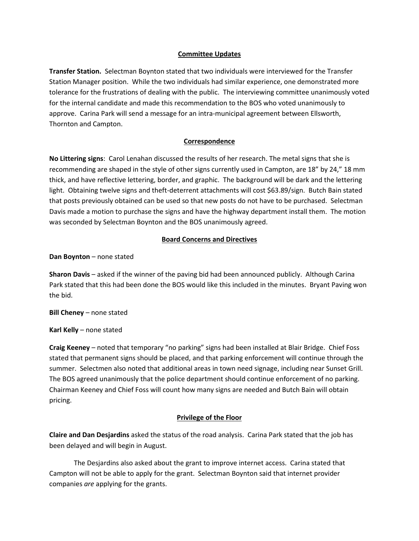#### **Committee Updates**

**Transfer Station.** Selectman Boynton stated that two individuals were interviewed for the Transfer Station Manager position. While the two individuals had similar experience, one demonstrated more tolerance for the frustrations of dealing with the public. The interviewing committee unanimously voted for the internal candidate and made this recommendation to the BOS who voted unanimously to approve. Carina Park will send a message for an intra-municipal agreement between Ellsworth, Thornton and Campton.

## **Correspondence**

**No Littering signs**: Carol Lenahan discussed the results of her research. The metal signs that she is recommending are shaped in the style of other signs currently used in Campton, are 18" by 24," 18 mm thick, and have reflective lettering, border, and graphic. The background will be dark and the lettering light. Obtaining twelve signs and theft-deterrent attachments will cost \$63.89/sign. Butch Bain stated that posts previously obtained can be used so that new posts do not have to be purchased. Selectman Davis made a motion to purchase the signs and have the highway department install them. The motion was seconded by Selectman Boynton and the BOS unanimously agreed.

## **Board Concerns and Directives**

**Dan Boynton** – none stated

**Sharon Davis** – asked if the winner of the paving bid had been announced publicly. Although Carina Park stated that this had been done the BOS would like this included in the minutes. Bryant Paving won the bid.

**Bill Cheney** – none stated

**Karl Kelly** – none stated

**Craig Keeney** – noted that temporary "no parking" signs had been installed at Blair Bridge. Chief Foss stated that permanent signs should be placed, and that parking enforcement will continue through the summer. Selectmen also noted that additional areas in town need signage, including near Sunset Grill. The BOS agreed unanimously that the police department should continue enforcement of no parking. Chairman Keeney and Chief Foss will count how many signs are needed and Butch Bain will obtain pricing.

#### **Privilege of the Floor**

**Claire and Dan Desjardins** asked the status of the road analysis. Carina Park stated that the job has been delayed and will begin in August.

The Desjardins also asked about the grant to improve internet access. Carina stated that Campton will not be able to apply for the grant. Selectman Boynton said that internet provider companies *are* applying for the grants.